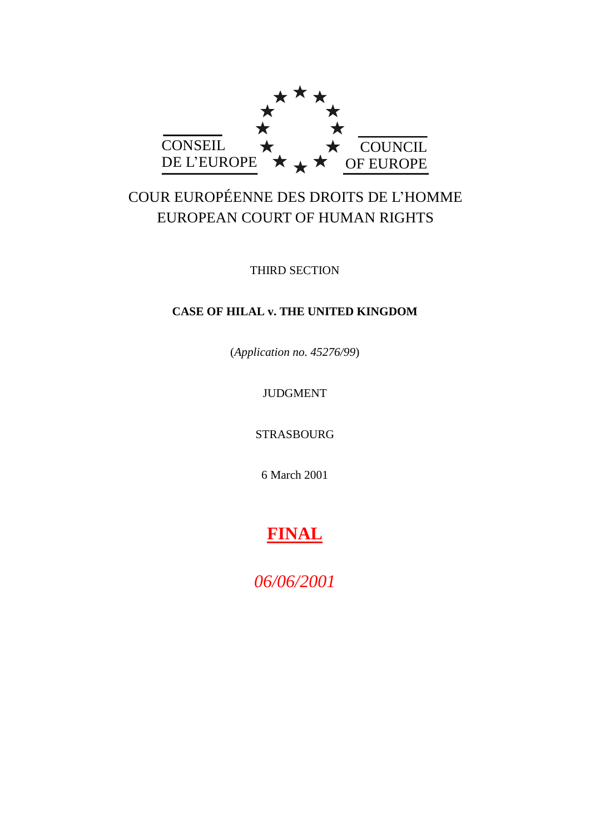

# COUR EUROPÉENNE DES DROITS DE L"HOMME EUROPEAN COURT OF HUMAN RIGHTS

THIRD SECTION

# **CASE OF HILAL v. THE UNITED KINGDOM**

(*Application no. 45276/99*)

# JUDGMENT

STRASBOURG

6 March 2001

# **FINAL**

*06/06/2001*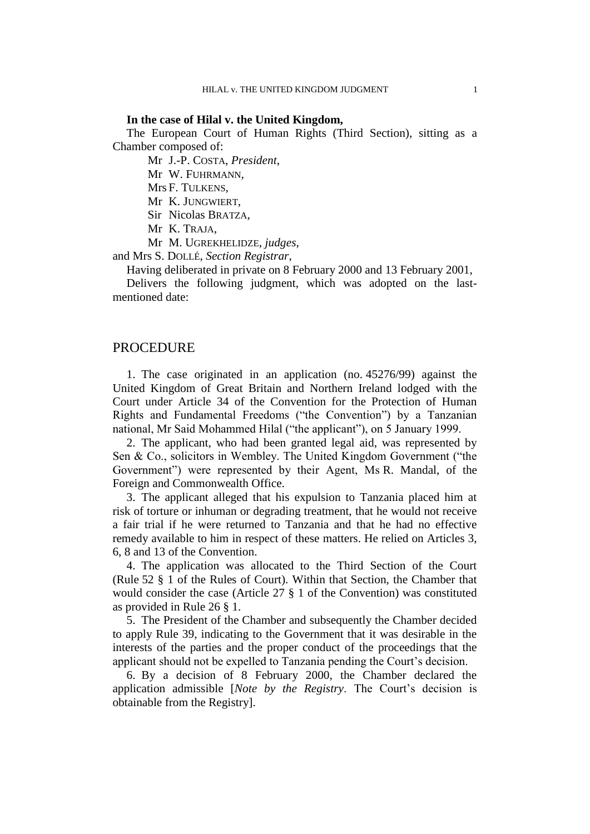#### **In the case of Hilal v. the United Kingdom,**

The European Court of Human Rights (Third Section), sitting as a Chamber composed of:

Mr J.-P. COSTA, *President*,

Mr W. FUHRMANN,

Mrs F. TULKENS,

Mr K. JUNGWIERT,

Sir Nicolas BRATZA,

Mr K. TRAJA,

Mr M. UGREKHELIDZE, *judges*,

and Mrs S. DOLLÉ, *Section Registrar*,

Having deliberated in private on 8 February 2000 and 13 February 2001,

Delivers the following judgment, which was adopted on the lastmentioned date:

# PROCEDURE

1. The case originated in an application (no. 45276/99) against the United Kingdom of Great Britain and Northern Ireland lodged with the Court under Article 34 of the Convention for the Protection of Human Rights and Fundamental Freedoms ("the Convention") by a Tanzanian national, Mr Said Mohammed Hilal ("the applicant"), on 5 January 1999.

2. The applicant, who had been granted legal aid, was represented by Sen & Co., solicitors in Wembley. The United Kingdom Government ("the Government") were represented by their Agent, Ms R. Mandal, of the Foreign and Commonwealth Office.

3. The applicant alleged that his expulsion to Tanzania placed him at risk of torture or inhuman or degrading treatment, that he would not receive a fair trial if he were returned to Tanzania and that he had no effective remedy available to him in respect of these matters. He relied on Articles 3, 6, 8 and 13 of the Convention.

4. The application was allocated to the Third Section of the Court (Rule 52 § 1 of the Rules of Court). Within that Section, the Chamber that would consider the case (Article 27 § 1 of the Convention) was constituted as provided in Rule 26 § 1.

5. The President of the Chamber and subsequently the Chamber decided to apply Rule 39, indicating to the Government that it was desirable in the interests of the parties and the proper conduct of the proceedings that the applicant should not be expelled to Tanzania pending the Court's decision.

6. By a decision of 8 February 2000, the Chamber declared the application admissible [*Note by the Registry*. The Court"s decision is obtainable from the Registry].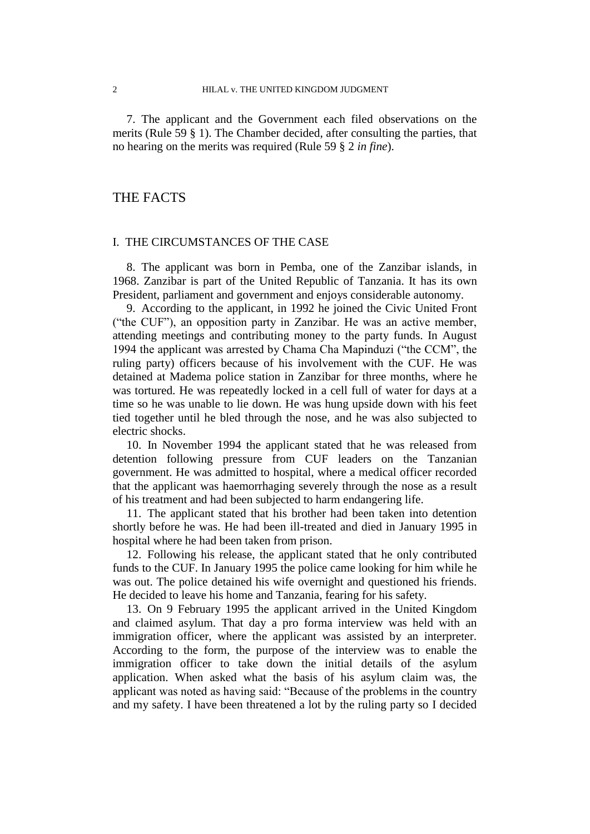7. The applicant and the Government each filed observations on the merits (Rule 59 § 1). The Chamber decided, after consulting the parties, that no hearing on the merits was required (Rule 59 § 2 *in fine*).

# THE FACTS

#### I. THE CIRCUMSTANCES OF THE CASE

8. The applicant was born in Pemba, one of the Zanzibar islands, in 1968. Zanzibar is part of the United Republic of Tanzania. It has its own President, parliament and government and enjoys considerable autonomy.

9. According to the applicant, in 1992 he joined the Civic United Front ("the CUF"), an opposition party in Zanzibar. He was an active member, attending meetings and contributing money to the party funds. In August 1994 the applicant was arrested by Chama Cha Mapinduzi ("the CCM", the ruling party) officers because of his involvement with the CUF. He was detained at Madema police station in Zanzibar for three months, where he was tortured. He was repeatedly locked in a cell full of water for days at a time so he was unable to lie down. He was hung upside down with his feet tied together until he bled through the nose, and he was also subjected to electric shocks.

10. In November 1994 the applicant stated that he was released from detention following pressure from CUF leaders on the Tanzanian government. He was admitted to hospital, where a medical officer recorded that the applicant was haemorrhaging severely through the nose as a result of his treatment and had been subjected to harm endangering life.

11. The applicant stated that his brother had been taken into detention shortly before he was. He had been ill-treated and died in January 1995 in hospital where he had been taken from prison.

12. Following his release, the applicant stated that he only contributed funds to the CUF. In January 1995 the police came looking for him while he was out. The police detained his wife overnight and questioned his friends. He decided to leave his home and Tanzania, fearing for his safety.

13. On 9 February 1995 the applicant arrived in the United Kingdom and claimed asylum. That day a pro forma interview was held with an immigration officer, where the applicant was assisted by an interpreter. According to the form, the purpose of the interview was to enable the immigration officer to take down the initial details of the asylum application. When asked what the basis of his asylum claim was, the applicant was noted as having said: "Because of the problems in the country and my safety. I have been threatened a lot by the ruling party so I decided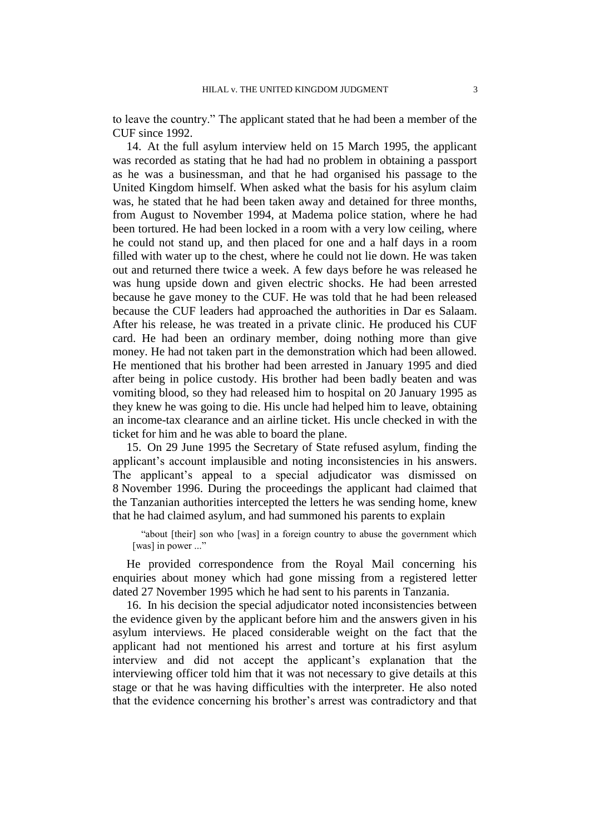to leave the country." The applicant stated that he had been a member of the CUF since 1992.

14. At the full asylum interview held on 15 March 1995, the applicant was recorded as stating that he had had no problem in obtaining a passport as he was a businessman, and that he had organised his passage to the United Kingdom himself. When asked what the basis for his asylum claim was, he stated that he had been taken away and detained for three months, from August to November 1994, at Madema police station, where he had been tortured. He had been locked in a room with a very low ceiling, where he could not stand up, and then placed for one and a half days in a room filled with water up to the chest, where he could not lie down. He was taken out and returned there twice a week. A few days before he was released he was hung upside down and given electric shocks. He had been arrested because he gave money to the CUF. He was told that he had been released because the CUF leaders had approached the authorities in Dar es Salaam. After his release, he was treated in a private clinic. He produced his CUF card. He had been an ordinary member, doing nothing more than give money. He had not taken part in the demonstration which had been allowed. He mentioned that his brother had been arrested in January 1995 and died after being in police custody. His brother had been badly beaten and was vomiting blood, so they had released him to hospital on 20 January 1995 as they knew he was going to die. His uncle had helped him to leave, obtaining an income-tax clearance and an airline ticket. His uncle checked in with the ticket for him and he was able to board the plane.

15. On 29 June 1995 the Secretary of State refused asylum, finding the applicant's account implausible and noting inconsistencies in his answers. The applicant"s appeal to a special adjudicator was dismissed on 8 November 1996. During the proceedings the applicant had claimed that the Tanzanian authorities intercepted the letters he was sending home, knew that he had claimed asylum, and had summoned his parents to explain

"about [their] son who [was] in a foreign country to abuse the government which [was] in power ..."

He provided correspondence from the Royal Mail concerning his enquiries about money which had gone missing from a registered letter dated 27 November 1995 which he had sent to his parents in Tanzania.

16. In his decision the special adjudicator noted inconsistencies between the evidence given by the applicant before him and the answers given in his asylum interviews. He placed considerable weight on the fact that the applicant had not mentioned his arrest and torture at his first asylum interview and did not accept the applicant"s explanation that the interviewing officer told him that it was not necessary to give details at this stage or that he was having difficulties with the interpreter. He also noted that the evidence concerning his brother"s arrest was contradictory and that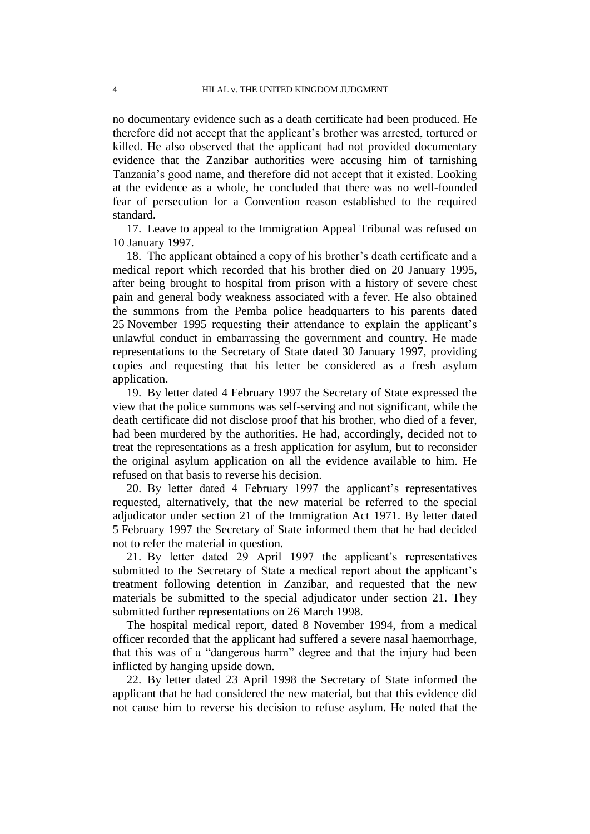no documentary evidence such as a death certificate had been produced. He therefore did not accept that the applicant"s brother was arrested, tortured or killed. He also observed that the applicant had not provided documentary evidence that the Zanzibar authorities were accusing him of tarnishing Tanzania"s good name, and therefore did not accept that it existed. Looking at the evidence as a whole, he concluded that there was no well-founded fear of persecution for a Convention reason established to the required standard.

17. Leave to appeal to the Immigration Appeal Tribunal was refused on 10 January 1997.

18. The applicant obtained a copy of his brother"s death certificate and a medical report which recorded that his brother died on 20 January 1995, after being brought to hospital from prison with a history of severe chest pain and general body weakness associated with a fever. He also obtained the summons from the Pemba police headquarters to his parents dated 25 November 1995 requesting their attendance to explain the applicant"s unlawful conduct in embarrassing the government and country. He made representations to the Secretary of State dated 30 January 1997, providing copies and requesting that his letter be considered as a fresh asylum application.

19. By letter dated 4 February 1997 the Secretary of State expressed the view that the police summons was self-serving and not significant, while the death certificate did not disclose proof that his brother, who died of a fever, had been murdered by the authorities. He had, accordingly, decided not to treat the representations as a fresh application for asylum, but to reconsider the original asylum application on all the evidence available to him. He refused on that basis to reverse his decision.

20. By letter dated 4 February 1997 the applicant"s representatives requested, alternatively, that the new material be referred to the special adjudicator under section 21 of the Immigration Act 1971. By letter dated 5 February 1997 the Secretary of State informed them that he had decided not to refer the material in question.

21. By letter dated 29 April 1997 the applicant"s representatives submitted to the Secretary of State a medical report about the applicant's treatment following detention in Zanzibar, and requested that the new materials be submitted to the special adjudicator under section 21. They submitted further representations on 26 March 1998.

The hospital medical report, dated 8 November 1994, from a medical officer recorded that the applicant had suffered a severe nasal haemorrhage, that this was of a "dangerous harm" degree and that the injury had been inflicted by hanging upside down.

22. By letter dated 23 April 1998 the Secretary of State informed the applicant that he had considered the new material, but that this evidence did not cause him to reverse his decision to refuse asylum. He noted that the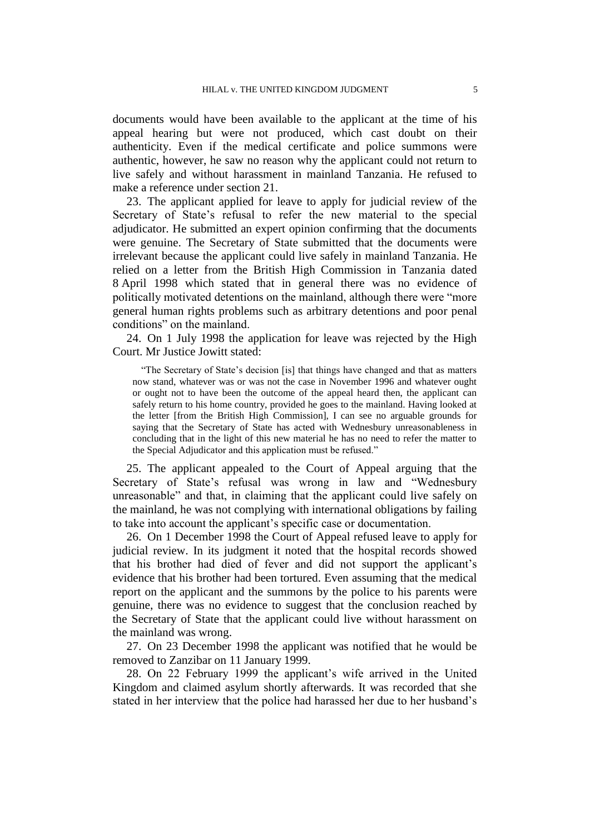documents would have been available to the applicant at the time of his appeal hearing but were not produced, which cast doubt on their authenticity. Even if the medical certificate and police summons were authentic, however, he saw no reason why the applicant could not return to live safely and without harassment in mainland Tanzania. He refused to make a reference under section 21.

23. The applicant applied for leave to apply for judicial review of the Secretary of State's refusal to refer the new material to the special adjudicator. He submitted an expert opinion confirming that the documents were genuine. The Secretary of State submitted that the documents were irrelevant because the applicant could live safely in mainland Tanzania. He relied on a letter from the British High Commission in Tanzania dated 8 April 1998 which stated that in general there was no evidence of politically motivated detentions on the mainland, although there were "more general human rights problems such as arbitrary detentions and poor penal conditions" on the mainland.

24. On 1 July 1998 the application for leave was rejected by the High Court. Mr Justice Jowitt stated:

"The Secretary of State's decision [is] that things have changed and that as matters now stand, whatever was or was not the case in November 1996 and whatever ought or ought not to have been the outcome of the appeal heard then, the applicant can safely return to his home country, provided he goes to the mainland. Having looked at the letter [from the British High Commission], I can see no arguable grounds for saying that the Secretary of State has acted with Wednesbury unreasonableness in concluding that in the light of this new material he has no need to refer the matter to the Special Adjudicator and this application must be refused."

25. The applicant appealed to the Court of Appeal arguing that the Secretary of State's refusal was wrong in law and "Wednesbury unreasonable" and that, in claiming that the applicant could live safely on the mainland, he was not complying with international obligations by failing to take into account the applicant"s specific case or documentation.

26. On 1 December 1998 the Court of Appeal refused leave to apply for judicial review. In its judgment it noted that the hospital records showed that his brother had died of fever and did not support the applicant"s evidence that his brother had been tortured. Even assuming that the medical report on the applicant and the summons by the police to his parents were genuine, there was no evidence to suggest that the conclusion reached by the Secretary of State that the applicant could live without harassment on the mainland was wrong.

27. On 23 December 1998 the applicant was notified that he would be removed to Zanzibar on 11 January 1999.

28. On 22 February 1999 the applicant"s wife arrived in the United Kingdom and claimed asylum shortly afterwards. It was recorded that she stated in her interview that the police had harassed her due to her husband"s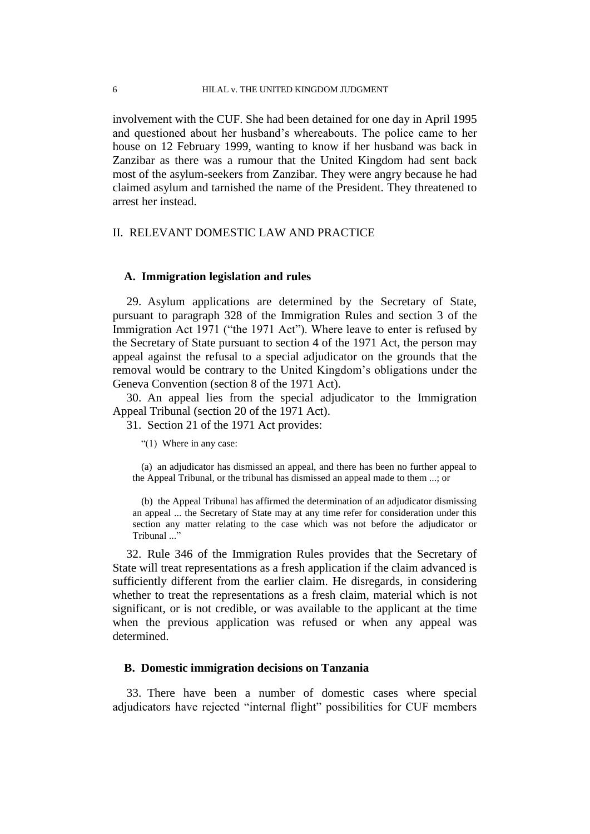involvement with the CUF. She had been detained for one day in April 1995 and questioned about her husband"s whereabouts. The police came to her house on 12 February 1999, wanting to know if her husband was back in Zanzibar as there was a rumour that the United Kingdom had sent back most of the asylum-seekers from Zanzibar. They were angry because he had claimed asylum and tarnished the name of the President. They threatened to arrest her instead.

# II. RELEVANT DOMESTIC LAW AND PRACTICE

# **A. Immigration legislation and rules**

29. Asylum applications are determined by the Secretary of State, pursuant to paragraph 328 of the Immigration Rules and section 3 of the Immigration Act 1971 ("the 1971 Act"). Where leave to enter is refused by the Secretary of State pursuant to section 4 of the 1971 Act, the person may appeal against the refusal to a special adjudicator on the grounds that the removal would be contrary to the United Kingdom"s obligations under the Geneva Convention (section 8 of the 1971 Act).

30. An appeal lies from the special adjudicator to the Immigration Appeal Tribunal (section 20 of the 1971 Act).

31. Section 21 of the 1971 Act provides:

"(1) Where in any case:

(a) an adjudicator has dismissed an appeal, and there has been no further appeal to the Appeal Tribunal, or the tribunal has dismissed an appeal made to them ...; or

(b) the Appeal Tribunal has affirmed the determination of an adjudicator dismissing an appeal ... the Secretary of State may at any time refer for consideration under this section any matter relating to the case which was not before the adjudicator or Tribunal '

32. Rule 346 of the Immigration Rules provides that the Secretary of State will treat representations as a fresh application if the claim advanced is sufficiently different from the earlier claim. He disregards, in considering whether to treat the representations as a fresh claim, material which is not significant, or is not credible, or was available to the applicant at the time when the previous application was refused or when any appeal was determined.

### **B. Domestic immigration decisions on Tanzania**

33. There have been a number of domestic cases where special adjudicators have rejected "internal flight" possibilities for CUF members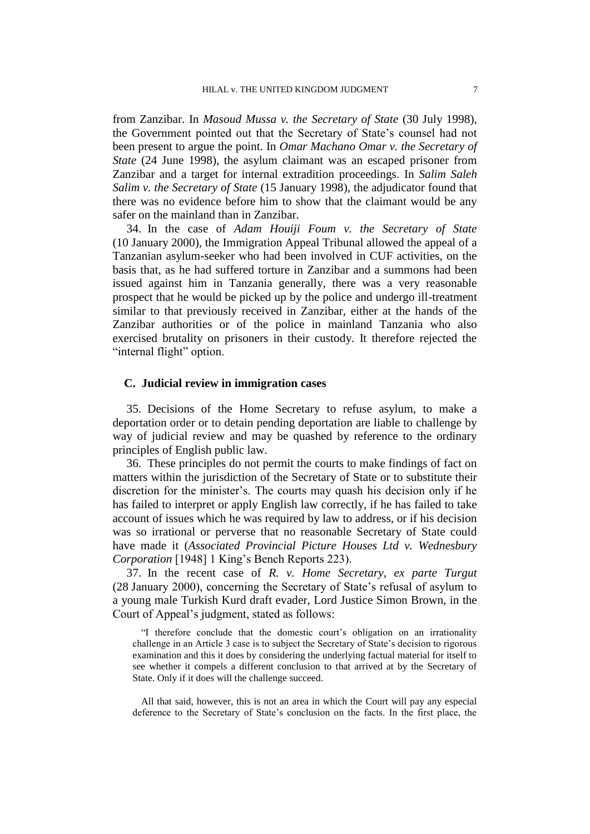from Zanzibar. In *Masoud Mussa v. the Secretary of State* (30 July 1998), the Government pointed out that the Secretary of State"s counsel had not been present to argue the point. In *Omar Machano Omar v. the Secretary of State* (24 June 1998), the asylum claimant was an escaped prisoner from Zanzibar and a target for internal extradition proceedings. In *Salim Saleh Salim v. the Secretary of State* (15 January 1998), the adjudicator found that there was no evidence before him to show that the claimant would be any safer on the mainland than in Zanzibar.

34. In the case of *Adam Houiji Foum v. the Secretary of State* (10 January 2000), the Immigration Appeal Tribunal allowed the appeal of a Tanzanian asylum-seeker who had been involved in CUF activities, on the basis that, as he had suffered torture in Zanzibar and a summons had been issued against him in Tanzania generally, there was a very reasonable prospect that he would be picked up by the police and undergo ill-treatment similar to that previously received in Zanzibar, either at the hands of the Zanzibar authorities or of the police in mainland Tanzania who also exercised brutality on prisoners in their custody. It therefore rejected the "internal flight" option.

## **C. Judicial review in immigration cases**

35. Decisions of the Home Secretary to refuse asylum, to make a deportation order or to detain pending deportation are liable to challenge by way of judicial review and may be quashed by reference to the ordinary principles of English public law.

36. These principles do not permit the courts to make findings of fact on matters within the jurisdiction of the Secretary of State or to substitute their discretion for the minister's. The courts may quash his decision only if he has failed to interpret or apply English law correctly, if he has failed to take account of issues which he was required by law to address, or if his decision was so irrational or perverse that no reasonable Secretary of State could have made it (*Associated Provincial Picture Houses Ltd v. Wednesbury Corporation* [1948] 1 King's Bench Reports 223).

37. In the recent case of *R. v. Home Secretary, ex parte Turgut* (28 January 2000), concerning the Secretary of State"s refusal of asylum to a young male Turkish Kurd draft evader, Lord Justice Simon Brown, in the Court of Appeal"s judgment, stated as follows:

"I therefore conclude that the domestic court"s obligation on an irrationality challenge in an Article 3 case is to subject the Secretary of State's decision to rigorous examination and this it does by considering the underlying factual material for itself to see whether it compels a different conclusion to that arrived at by the Secretary of State. Only if it does will the challenge succeed.

All that said, however, this is not an area in which the Court will pay any especial deference to the Secretary of State"s conclusion on the facts. In the first place, the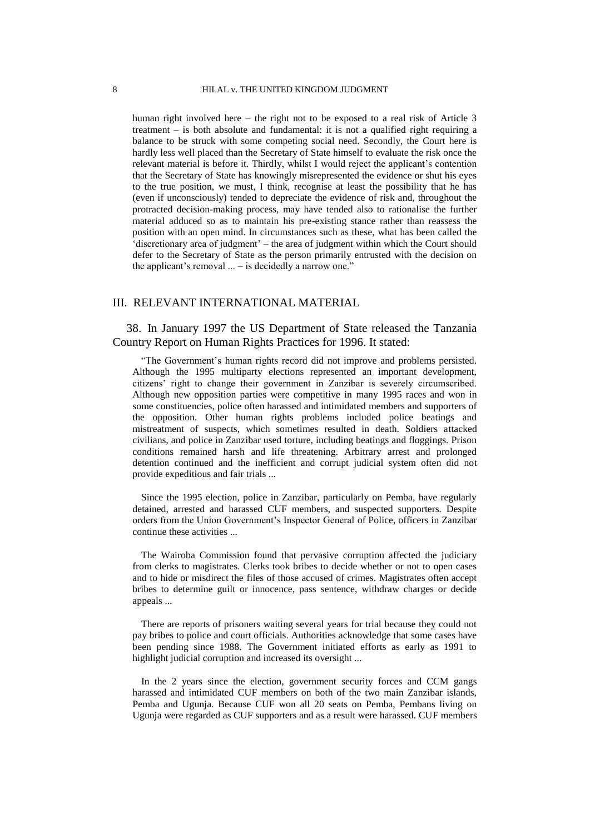human right involved here – the right not to be exposed to a real risk of Article 3 treatment – is both absolute and fundamental: it is not a qualified right requiring a balance to be struck with some competing social need. Secondly, the Court here is hardly less well placed than the Secretary of State himself to evaluate the risk once the relevant material is before it. Thirdly, whilst I would reject the applicant"s contention that the Secretary of State has knowingly misrepresented the evidence or shut his eyes to the true position, we must, I think, recognise at least the possibility that he has (even if unconsciously) tended to depreciate the evidence of risk and, throughout the protracted decision-making process, may have tended also to rationalise the further material adduced so as to maintain his pre-existing stance rather than reassess the position with an open mind. In circumstances such as these, what has been called the "discretionary area of judgment" – the area of judgment within which the Court should defer to the Secretary of State as the person primarily entrusted with the decision on the applicant's removal  $\ldots$  – is decidedly a narrow one."

### III. RELEVANT INTERNATIONAL MATERIAL

38. In January 1997 the US Department of State released the Tanzania Country Report on Human Rights Practices for 1996. It stated:

"The Government's human rights record did not improve and problems persisted. Although the 1995 multiparty elections represented an important development, citizens" right to change their government in Zanzibar is severely circumscribed. Although new opposition parties were competitive in many 1995 races and won in some constituencies, police often harassed and intimidated members and supporters of the opposition. Other human rights problems included police beatings and mistreatment of suspects, which sometimes resulted in death. Soldiers attacked civilians, and police in Zanzibar used torture, including beatings and floggings. Prison conditions remained harsh and life threatening. Arbitrary arrest and prolonged detention continued and the inefficient and corrupt judicial system often did not provide expeditious and fair trials ...

Since the 1995 election, police in Zanzibar, particularly on Pemba, have regularly detained, arrested and harassed CUF members, and suspected supporters. Despite orders from the Union Government"s Inspector General of Police, officers in Zanzibar continue these activities ...

The Wairoba Commission found that pervasive corruption affected the judiciary from clerks to magistrates. Clerks took bribes to decide whether or not to open cases and to hide or misdirect the files of those accused of crimes. Magistrates often accept bribes to determine guilt or innocence, pass sentence, withdraw charges or decide appeals ...

There are reports of prisoners waiting several years for trial because they could not pay bribes to police and court officials. Authorities acknowledge that some cases have been pending since 1988. The Government initiated efforts as early as 1991 to highlight judicial corruption and increased its oversight ...

In the 2 years since the election, government security forces and CCM gangs harassed and intimidated CUF members on both of the two main Zanzibar islands, Pemba and Ugunja. Because CUF won all 20 seats on Pemba, Pembans living on Ugunja were regarded as CUF supporters and as a result were harassed. CUF members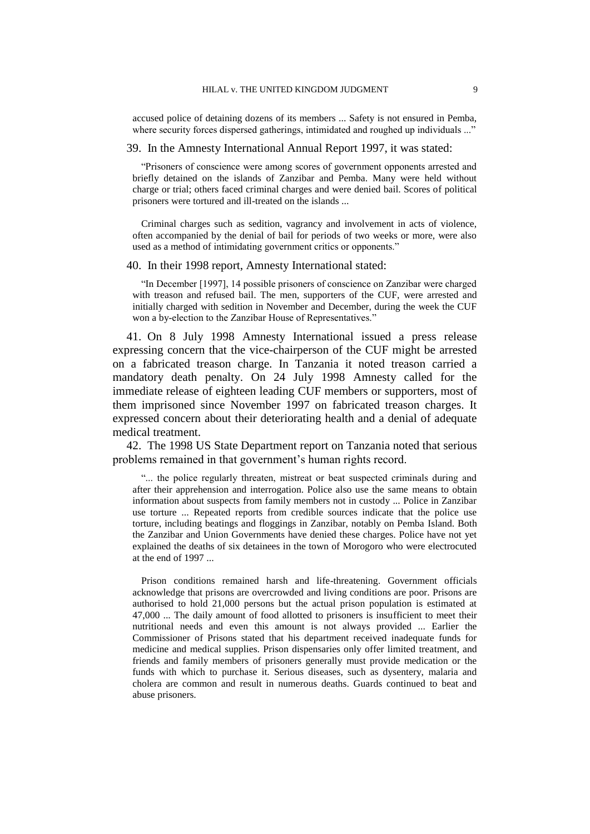accused police of detaining dozens of its members ... Safety is not ensured in Pemba, where security forces dispersed gatherings, intimidated and roughed up individuals ..."

#### 39. In the Amnesty International Annual Report 1997, it was stated:

"Prisoners of conscience were among scores of government opponents arrested and briefly detained on the islands of Zanzibar and Pemba. Many were held without charge or trial; others faced criminal charges and were denied bail. Scores of political prisoners were tortured and ill-treated on the islands ...

Criminal charges such as sedition, vagrancy and involvement in acts of violence, often accompanied by the denial of bail for periods of two weeks or more, were also used as a method of intimidating government critics or opponents."

#### 40. In their 1998 report, Amnesty International stated:

"In December [1997], 14 possible prisoners of conscience on Zanzibar were charged with treason and refused bail. The men, supporters of the CUF, were arrested and initially charged with sedition in November and December, during the week the CUF won a by-election to the Zanzibar House of Representatives."

41. On 8 July 1998 Amnesty International issued a press release expressing concern that the vice-chairperson of the CUF might be arrested on a fabricated treason charge. In Tanzania it noted treason carried a mandatory death penalty. On 24 July 1998 Amnesty called for the immediate release of eighteen leading CUF members or supporters, most of them imprisoned since November 1997 on fabricated treason charges. It expressed concern about their deteriorating health and a denial of adequate medical treatment.

42. The 1998 US State Department report on Tanzania noted that serious problems remained in that government's human rights record.

"... the police regularly threaten, mistreat or beat suspected criminals during and after their apprehension and interrogation. Police also use the same means to obtain information about suspects from family members not in custody ... Police in Zanzibar use torture ... Repeated reports from credible sources indicate that the police use torture, including beatings and floggings in Zanzibar, notably on Pemba Island. Both the Zanzibar and Union Governments have denied these charges. Police have not yet explained the deaths of six detainees in the town of Morogoro who were electrocuted at the end of 1997 ...

Prison conditions remained harsh and life-threatening. Government officials acknowledge that prisons are overcrowded and living conditions are poor. Prisons are authorised to hold 21,000 persons but the actual prison population is estimated at 47,000 ... The daily amount of food allotted to prisoners is insufficient to meet their nutritional needs and even this amount is not always provided ... Earlier the Commissioner of Prisons stated that his department received inadequate funds for medicine and medical supplies. Prison dispensaries only offer limited treatment, and friends and family members of prisoners generally must provide medication or the funds with which to purchase it. Serious diseases, such as dysentery, malaria and cholera are common and result in numerous deaths. Guards continued to beat and abuse prisoners.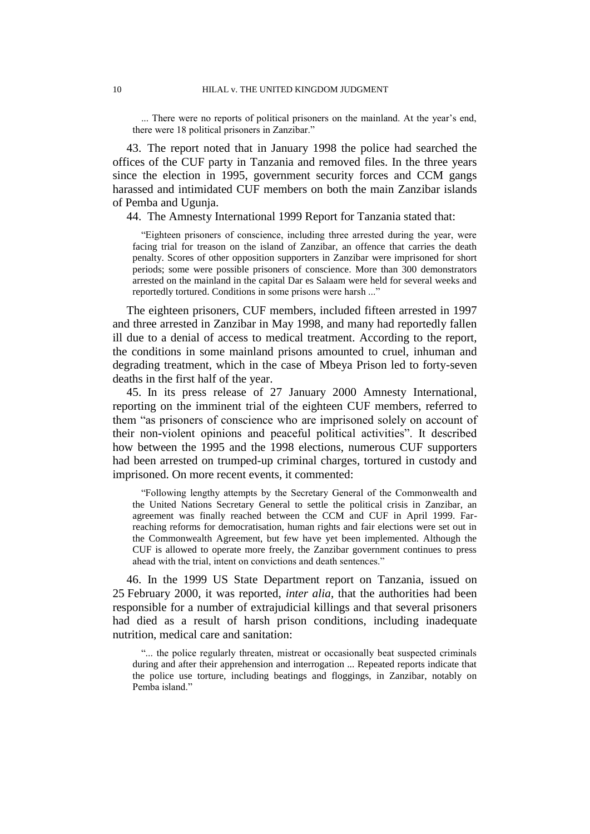... There were no reports of political prisoners on the mainland. At the year's end, there were 18 political prisoners in Zanzibar."

43. The report noted that in January 1998 the police had searched the offices of the CUF party in Tanzania and removed files. In the three years since the election in 1995, government security forces and CCM gangs harassed and intimidated CUF members on both the main Zanzibar islands of Pemba and Ugunja.

44. The Amnesty International 1999 Report for Tanzania stated that:

"Eighteen prisoners of conscience, including three arrested during the year, were facing trial for treason on the island of Zanzibar, an offence that carries the death penalty. Scores of other opposition supporters in Zanzibar were imprisoned for short periods; some were possible prisoners of conscience. More than 300 demonstrators arrested on the mainland in the capital Dar es Salaam were held for several weeks and reportedly tortured. Conditions in some prisons were harsh ..."

The eighteen prisoners, CUF members, included fifteen arrested in 1997 and three arrested in Zanzibar in May 1998, and many had reportedly fallen ill due to a denial of access to medical treatment. According to the report, the conditions in some mainland prisons amounted to cruel, inhuman and degrading treatment, which in the case of Mbeya Prison led to forty-seven deaths in the first half of the year.

45. In its press release of 27 January 2000 Amnesty International, reporting on the imminent trial of the eighteen CUF members, referred to them "as prisoners of conscience who are imprisoned solely on account of their non-violent opinions and peaceful political activities". It described how between the 1995 and the 1998 elections, numerous CUF supporters had been arrested on trumped-up criminal charges, tortured in custody and imprisoned. On more recent events, it commented:

"Following lengthy attempts by the Secretary General of the Commonwealth and the United Nations Secretary General to settle the political crisis in Zanzibar, an agreement was finally reached between the CCM and CUF in April 1999. Farreaching reforms for democratisation, human rights and fair elections were set out in the Commonwealth Agreement, but few have yet been implemented. Although the CUF is allowed to operate more freely, the Zanzibar government continues to press ahead with the trial, intent on convictions and death sentences."

46. In the 1999 US State Department report on Tanzania, issued on 25 February 2000, it was reported, *inter alia*, that the authorities had been responsible for a number of extrajudicial killings and that several prisoners had died as a result of harsh prison conditions, including inadequate nutrition, medical care and sanitation:

"... the police regularly threaten, mistreat or occasionally beat suspected criminals during and after their apprehension and interrogation ... Repeated reports indicate that the police use torture, including beatings and floggings, in Zanzibar, notably on Pemba island."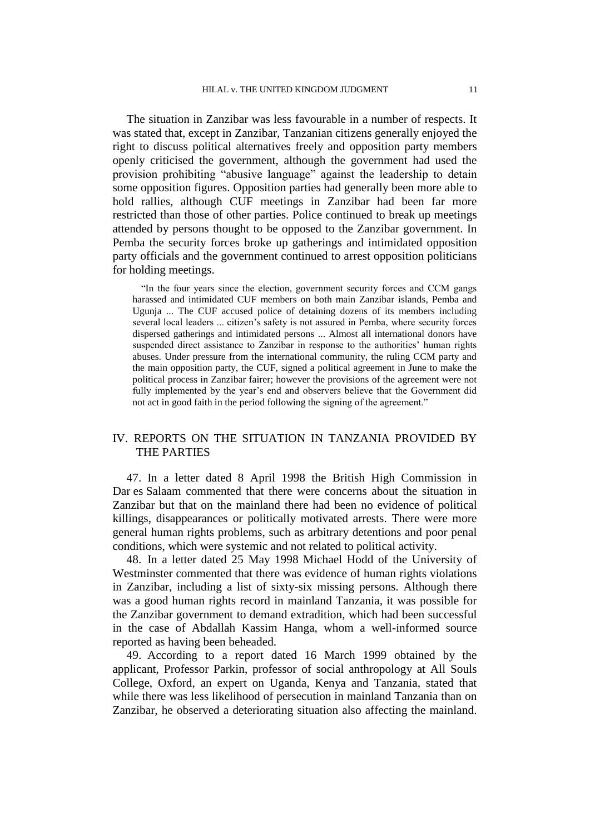The situation in Zanzibar was less favourable in a number of respects. It was stated that, except in Zanzibar, Tanzanian citizens generally enjoyed the right to discuss political alternatives freely and opposition party members openly criticised the government, although the government had used the provision prohibiting "abusive language" against the leadership to detain some opposition figures. Opposition parties had generally been more able to hold rallies, although CUF meetings in Zanzibar had been far more restricted than those of other parties. Police continued to break up meetings attended by persons thought to be opposed to the Zanzibar government. In Pemba the security forces broke up gatherings and intimidated opposition party officials and the government continued to arrest opposition politicians for holding meetings.

"In the four years since the election, government security forces and CCM gangs harassed and intimidated CUF members on both main Zanzibar islands, Pemba and Ugunja ... The CUF accused police of detaining dozens of its members including several local leaders ... citizen's safety is not assured in Pemba, where security forces dispersed gatherings and intimidated persons ... Almost all international donors have suspended direct assistance to Zanzibar in response to the authorities' human rights abuses. Under pressure from the international community, the ruling CCM party and the main opposition party, the CUF, signed a political agreement in June to make the political process in Zanzibar fairer; however the provisions of the agreement were not fully implemented by the year's end and observers believe that the Government did not act in good faith in the period following the signing of the agreement."

# IV. REPORTS ON THE SITUATION IN TANZANIA PROVIDED BY THE PARTIES

47. In a letter dated 8 April 1998 the British High Commission in Dar es Salaam commented that there were concerns about the situation in Zanzibar but that on the mainland there had been no evidence of political killings, disappearances or politically motivated arrests. There were more general human rights problems, such as arbitrary detentions and poor penal conditions, which were systemic and not related to political activity.

48. In a letter dated 25 May 1998 Michael Hodd of the University of Westminster commented that there was evidence of human rights violations in Zanzibar, including a list of sixty-six missing persons. Although there was a good human rights record in mainland Tanzania, it was possible for the Zanzibar government to demand extradition, which had been successful in the case of Abdallah Kassim Hanga, whom a well-informed source reported as having been beheaded.

49. According to a report dated 16 March 1999 obtained by the applicant, Professor Parkin, professor of social anthropology at All Souls College, Oxford, an expert on Uganda, Kenya and Tanzania, stated that while there was less likelihood of persecution in mainland Tanzania than on Zanzibar, he observed a deteriorating situation also affecting the mainland.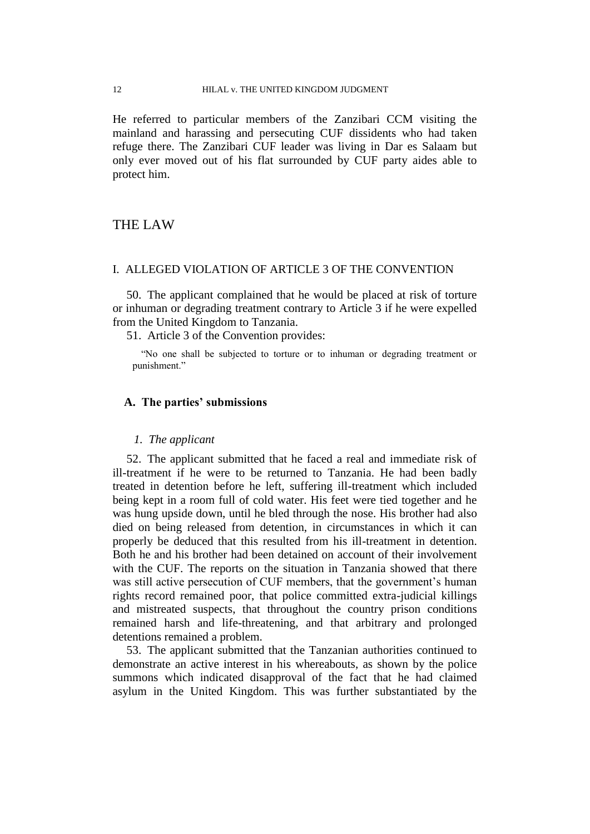He referred to particular members of the Zanzibari CCM visiting the mainland and harassing and persecuting CUF dissidents who had taken refuge there. The Zanzibari CUF leader was living in Dar es Salaam but only ever moved out of his flat surrounded by CUF party aides able to protect him.

# THE LAW

# I. ALLEGED VIOLATION OF ARTICLE 3 OF THE CONVENTION

50. The applicant complained that he would be placed at risk of torture or inhuman or degrading treatment contrary to Article 3 if he were expelled from the United Kingdom to Tanzania.

51. Article 3 of the Convention provides:

"No one shall be subjected to torture or to inhuman or degrading treatment or punishment."

#### **A. The parties' submissions**

# *1. The applicant*

52. The applicant submitted that he faced a real and immediate risk of ill-treatment if he were to be returned to Tanzania. He had been badly treated in detention before he left, suffering ill-treatment which included being kept in a room full of cold water. His feet were tied together and he was hung upside down, until he bled through the nose. His brother had also died on being released from detention, in circumstances in which it can properly be deduced that this resulted from his ill-treatment in detention. Both he and his brother had been detained on account of their involvement with the CUF. The reports on the situation in Tanzania showed that there was still active persecution of CUF members, that the government's human rights record remained poor, that police committed extra-judicial killings and mistreated suspects, that throughout the country prison conditions remained harsh and life-threatening, and that arbitrary and prolonged detentions remained a problem.

53. The applicant submitted that the Tanzanian authorities continued to demonstrate an active interest in his whereabouts, as shown by the police summons which indicated disapproval of the fact that he had claimed asylum in the United Kingdom. This was further substantiated by the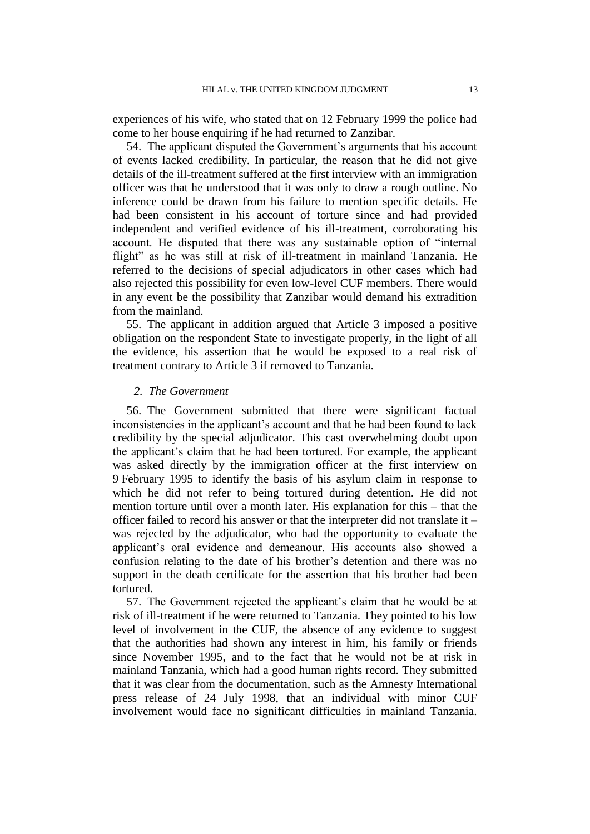experiences of his wife, who stated that on 12 February 1999 the police had come to her house enquiring if he had returned to Zanzibar.

54. The applicant disputed the Government"s arguments that his account of events lacked credibility. In particular, the reason that he did not give details of the ill-treatment suffered at the first interview with an immigration officer was that he understood that it was only to draw a rough outline. No inference could be drawn from his failure to mention specific details. He had been consistent in his account of torture since and had provided independent and verified evidence of his ill-treatment, corroborating his account. He disputed that there was any sustainable option of "internal flight" as he was still at risk of ill-treatment in mainland Tanzania. He referred to the decisions of special adjudicators in other cases which had also rejected this possibility for even low-level CUF members. There would in any event be the possibility that Zanzibar would demand his extradition from the mainland.

55. The applicant in addition argued that Article 3 imposed a positive obligation on the respondent State to investigate properly, in the light of all the evidence, his assertion that he would be exposed to a real risk of treatment contrary to Article 3 if removed to Tanzania.

#### *2. The Government*

56. The Government submitted that there were significant factual inconsistencies in the applicant's account and that he had been found to lack credibility by the special adjudicator. This cast overwhelming doubt upon the applicant"s claim that he had been tortured. For example, the applicant was asked directly by the immigration officer at the first interview on 9 February 1995 to identify the basis of his asylum claim in response to which he did not refer to being tortured during detention. He did not mention torture until over a month later. His explanation for this – that the officer failed to record his answer or that the interpreter did not translate it – was rejected by the adjudicator, who had the opportunity to evaluate the applicant"s oral evidence and demeanour. His accounts also showed a confusion relating to the date of his brother"s detention and there was no support in the death certificate for the assertion that his brother had been tortured.

57. The Government rejected the applicant"s claim that he would be at risk of ill-treatment if he were returned to Tanzania. They pointed to his low level of involvement in the CUF, the absence of any evidence to suggest that the authorities had shown any interest in him, his family or friends since November 1995, and to the fact that he would not be at risk in mainland Tanzania, which had a good human rights record. They submitted that it was clear from the documentation, such as the Amnesty International press release of 24 July 1998, that an individual with minor CUF involvement would face no significant difficulties in mainland Tanzania.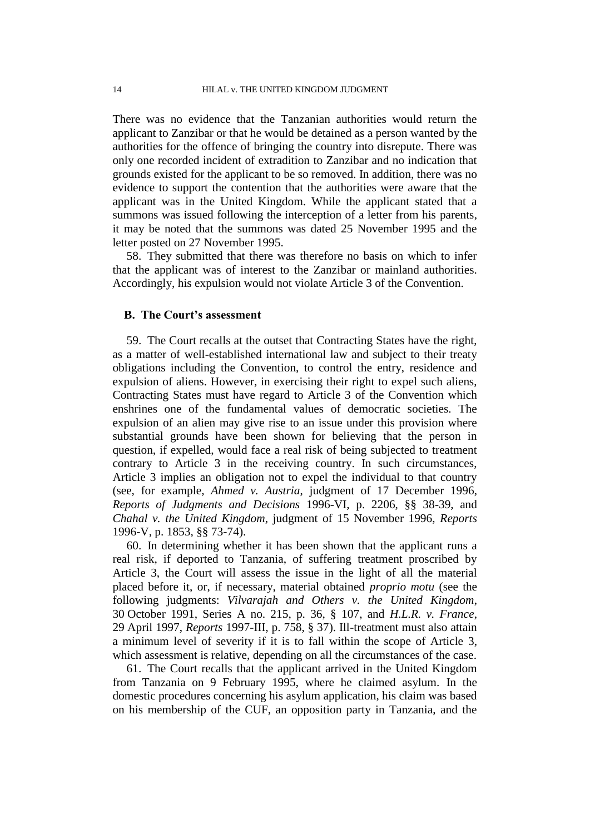There was no evidence that the Tanzanian authorities would return the applicant to Zanzibar or that he would be detained as a person wanted by the authorities for the offence of bringing the country into disrepute. There was only one recorded incident of extradition to Zanzibar and no indication that grounds existed for the applicant to be so removed. In addition, there was no evidence to support the contention that the authorities were aware that the applicant was in the United Kingdom. While the applicant stated that a summons was issued following the interception of a letter from his parents, it may be noted that the summons was dated 25 November 1995 and the letter posted on 27 November 1995.

58. They submitted that there was therefore no basis on which to infer that the applicant was of interest to the Zanzibar or mainland authorities. Accordingly, his expulsion would not violate Article 3 of the Convention.

## **B. The Court's assessment**

59. The Court recalls at the outset that Contracting States have the right, as a matter of well-established international law and subject to their treaty obligations including the Convention, to control the entry, residence and expulsion of aliens. However, in exercising their right to expel such aliens, Contracting States must have regard to Article 3 of the Convention which enshrines one of the fundamental values of democratic societies. The expulsion of an alien may give rise to an issue under this provision where substantial grounds have been shown for believing that the person in question, if expelled, would face a real risk of being subjected to treatment contrary to Article 3 in the receiving country. In such circumstances, Article 3 implies an obligation not to expel the individual to that country (see, for example, *Ahmed v. Austria*, judgment of 17 December 1996, *Reports of Judgments and Decisions* 1996-VI, p. 2206, §§ 38-39, and *Chahal v. the United Kingdom*, judgment of 15 November 1996, *Reports* 1996-V, p. 1853, §§ 73-74).

60. In determining whether it has been shown that the applicant runs a real risk, if deported to Tanzania, of suffering treatment proscribed by Article 3, the Court will assess the issue in the light of all the material placed before it, or, if necessary, material obtained *proprio motu* (see the following judgments: *Vilvarajah and Others v. the United Kingdom*, 30 October 1991, Series A no. 215, p. 36, § 107, and *H.L.R. v. France*, 29 April 1997, *Reports* 1997-III, p. 758, § 37). Ill-treatment must also attain a minimum level of severity if it is to fall within the scope of Article 3, which assessment is relative, depending on all the circumstances of the case.

61. The Court recalls that the applicant arrived in the United Kingdom from Tanzania on 9 February 1995, where he claimed asylum. In the domestic procedures concerning his asylum application, his claim was based on his membership of the CUF, an opposition party in Tanzania, and the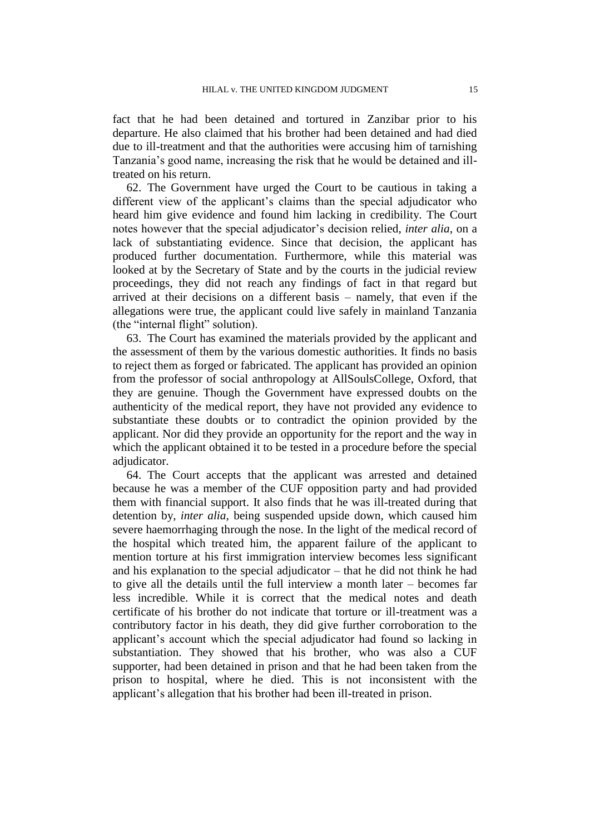fact that he had been detained and tortured in Zanzibar prior to his departure. He also claimed that his brother had been detained and had died due to ill-treatment and that the authorities were accusing him of tarnishing Tanzania"s good name, increasing the risk that he would be detained and illtreated on his return.

62. The Government have urged the Court to be cautious in taking a different view of the applicant's claims than the special adjudicator who heard him give evidence and found him lacking in credibility. The Court notes however that the special adjudicator"s decision relied, *inter alia*, on a lack of substantiating evidence. Since that decision, the applicant has produced further documentation. Furthermore, while this material was looked at by the Secretary of State and by the courts in the judicial review proceedings, they did not reach any findings of fact in that regard but arrived at their decisions on a different basis – namely, that even if the allegations were true, the applicant could live safely in mainland Tanzania (the "internal flight" solution).

63. The Court has examined the materials provided by the applicant and the assessment of them by the various domestic authorities. It finds no basis to reject them as forged or fabricated. The applicant has provided an opinion from the professor of social anthropology at AllSoulsCollege, Oxford, that they are genuine. Though the Government have expressed doubts on the authenticity of the medical report, they have not provided any evidence to substantiate these doubts or to contradict the opinion provided by the applicant. Nor did they provide an opportunity for the report and the way in which the applicant obtained it to be tested in a procedure before the special adjudicator.

64. The Court accepts that the applicant was arrested and detained because he was a member of the CUF opposition party and had provided them with financial support. It also finds that he was ill-treated during that detention by, *inter alia*, being suspended upside down, which caused him severe haemorrhaging through the nose. In the light of the medical record of the hospital which treated him, the apparent failure of the applicant to mention torture at his first immigration interview becomes less significant and his explanation to the special adjudicator – that he did not think he had to give all the details until the full interview a month later – becomes far less incredible. While it is correct that the medical notes and death certificate of his brother do not indicate that torture or ill-treatment was a contributory factor in his death, they did give further corroboration to the applicant"s account which the special adjudicator had found so lacking in substantiation. They showed that his brother, who was also a CUF supporter, had been detained in prison and that he had been taken from the prison to hospital, where he died. This is not inconsistent with the applicant"s allegation that his brother had been ill-treated in prison.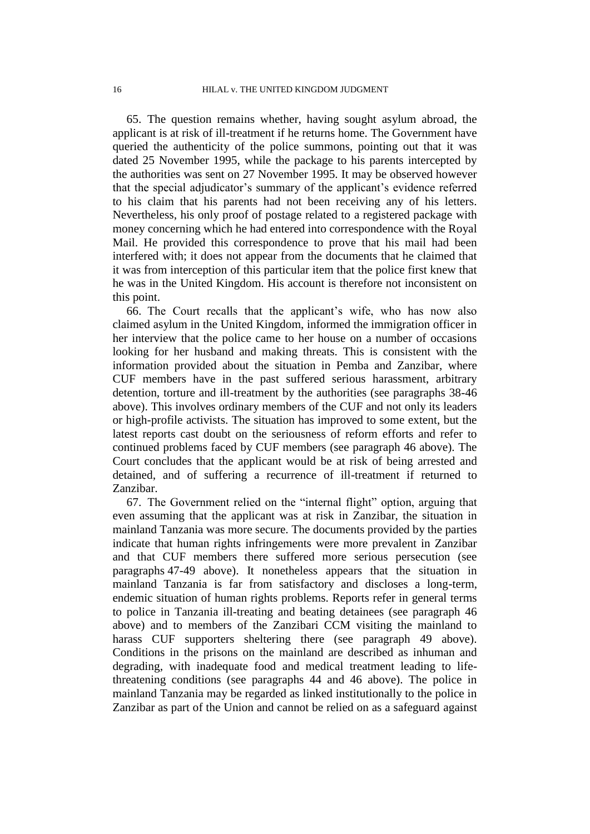65. The question remains whether, having sought asylum abroad, the applicant is at risk of ill-treatment if he returns home. The Government have queried the authenticity of the police summons, pointing out that it was dated 25 November 1995, while the package to his parents intercepted by the authorities was sent on 27 November 1995. It may be observed however that the special adjudicator's summary of the applicant's evidence referred to his claim that his parents had not been receiving any of his letters. Nevertheless, his only proof of postage related to a registered package with money concerning which he had entered into correspondence with the Royal Mail. He provided this correspondence to prove that his mail had been interfered with; it does not appear from the documents that he claimed that it was from interception of this particular item that the police first knew that he was in the United Kingdom. His account is therefore not inconsistent on this point.

66. The Court recalls that the applicant"s wife, who has now also claimed asylum in the United Kingdom, informed the immigration officer in her interview that the police came to her house on a number of occasions looking for her husband and making threats. This is consistent with the information provided about the situation in Pemba and Zanzibar, where CUF members have in the past suffered serious harassment, arbitrary detention, torture and ill-treatment by the authorities (see paragraphs 38-46 above). This involves ordinary members of the CUF and not only its leaders or high-profile activists. The situation has improved to some extent, but the latest reports cast doubt on the seriousness of reform efforts and refer to continued problems faced by CUF members (see paragraph 46 above). The Court concludes that the applicant would be at risk of being arrested and detained, and of suffering a recurrence of ill-treatment if returned to Zanzibar.

67. The Government relied on the "internal flight" option, arguing that even assuming that the applicant was at risk in Zanzibar, the situation in mainland Tanzania was more secure. The documents provided by the parties indicate that human rights infringements were more prevalent in Zanzibar and that CUF members there suffered more serious persecution (see paragraphs 47-49 above). It nonetheless appears that the situation in mainland Tanzania is far from satisfactory and discloses a long-term, endemic situation of human rights problems. Reports refer in general terms to police in Tanzania ill-treating and beating detainees (see paragraph 46 above) and to members of the Zanzibari CCM visiting the mainland to harass CUF supporters sheltering there (see paragraph 49 above). Conditions in the prisons on the mainland are described as inhuman and degrading, with inadequate food and medical treatment leading to lifethreatening conditions (see paragraphs 44 and 46 above). The police in mainland Tanzania may be regarded as linked institutionally to the police in Zanzibar as part of the Union and cannot be relied on as a safeguard against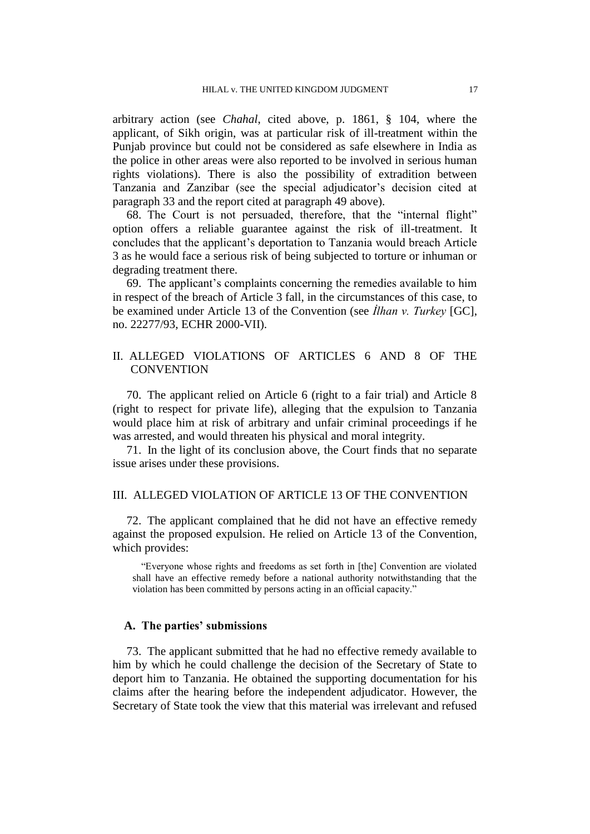arbitrary action (see *Chahal*, cited above, p. 1861, § 104, where the applicant, of Sikh origin, was at particular risk of ill-treatment within the Punjab province but could not be considered as safe elsewhere in India as the police in other areas were also reported to be involved in serious human rights violations). There is also the possibility of extradition between Tanzania and Zanzibar (see the special adjudicator"s decision cited at paragraph 33 and the report cited at paragraph 49 above).

68. The Court is not persuaded, therefore, that the "internal flight" option offers a reliable guarantee against the risk of ill-treatment. It concludes that the applicant"s deportation to Tanzania would breach Article 3 as he would face a serious risk of being subjected to torture or inhuman or degrading treatment there.

69. The applicant"s complaints concerning the remedies available to him in respect of the breach of Article 3 fall, in the circumstances of this case, to be examined under Article 13 of the Convention (see *İlhan v. Turkey* [GC], no. 22277/93, ECHR 2000-VII).

# II. ALLEGED VIOLATIONS OF ARTICLES 6 AND 8 OF THE **CONVENTION**

70. The applicant relied on Article 6 (right to a fair trial) and Article 8 (right to respect for private life), alleging that the expulsion to Tanzania would place him at risk of arbitrary and unfair criminal proceedings if he was arrested, and would threaten his physical and moral integrity.

71. In the light of its conclusion above, the Court finds that no separate issue arises under these provisions.

# III. ALLEGED VIOLATION OF ARTICLE 13 OF THE CONVENTION

72. The applicant complained that he did not have an effective remedy against the proposed expulsion. He relied on Article 13 of the Convention, which provides:

"Everyone whose rights and freedoms as set forth in [the] Convention are violated shall have an effective remedy before a national authority notwithstanding that the violation has been committed by persons acting in an official capacity."

# **A. The parties' submissions**

73. The applicant submitted that he had no effective remedy available to him by which he could challenge the decision of the Secretary of State to deport him to Tanzania. He obtained the supporting documentation for his claims after the hearing before the independent adjudicator. However, the Secretary of State took the view that this material was irrelevant and refused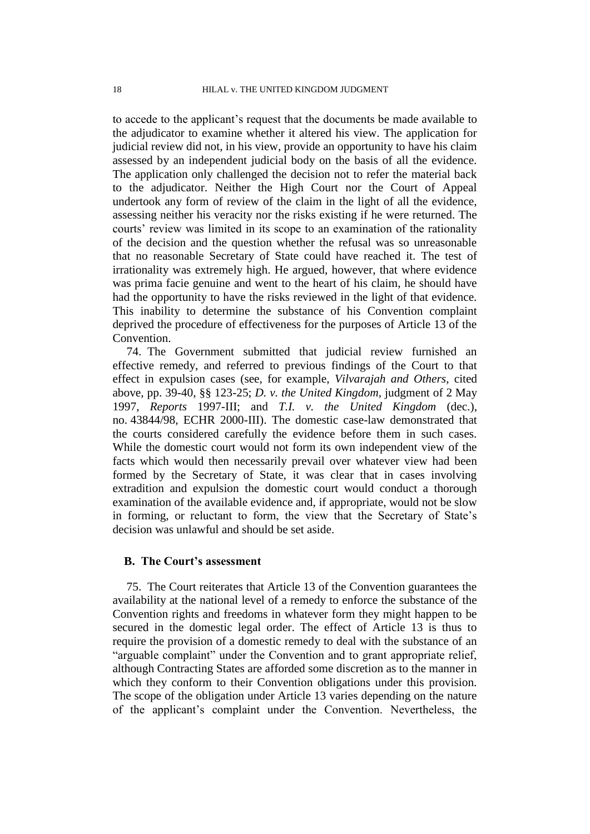to accede to the applicant"s request that the documents be made available to the adjudicator to examine whether it altered his view. The application for judicial review did not, in his view, provide an opportunity to have his claim assessed by an independent judicial body on the basis of all the evidence. The application only challenged the decision not to refer the material back to the adjudicator. Neither the High Court nor the Court of Appeal undertook any form of review of the claim in the light of all the evidence, assessing neither his veracity nor the risks existing if he were returned. The courts' review was limited in its scope to an examination of the rationality of the decision and the question whether the refusal was so unreasonable that no reasonable Secretary of State could have reached it. The test of irrationality was extremely high. He argued, however, that where evidence was prima facie genuine and went to the heart of his claim, he should have had the opportunity to have the risks reviewed in the light of that evidence. This inability to determine the substance of his Convention complaint deprived the procedure of effectiveness for the purposes of Article 13 of the Convention.

74. The Government submitted that judicial review furnished an effective remedy, and referred to previous findings of the Court to that effect in expulsion cases (see, for example, *Vilvarajah and Others*, cited above, pp. 39-40, §§ 123-25; *D. v. the United Kingdom*, judgment of 2 May 1997, *Reports* 1997-III; and *T.I. v. the United Kingdom* (dec.), no. 43844/98, ECHR 2000-III). The domestic case-law demonstrated that the courts considered carefully the evidence before them in such cases. While the domestic court would not form its own independent view of the facts which would then necessarily prevail over whatever view had been formed by the Secretary of State, it was clear that in cases involving extradition and expulsion the domestic court would conduct a thorough examination of the available evidence and, if appropriate, would not be slow in forming, or reluctant to form, the view that the Secretary of State"s decision was unlawful and should be set aside.

# **B. The Court's assessment**

75. The Court reiterates that Article 13 of the Convention guarantees the availability at the national level of a remedy to enforce the substance of the Convention rights and freedoms in whatever form they might happen to be secured in the domestic legal order. The effect of Article 13 is thus to require the provision of a domestic remedy to deal with the substance of an "arguable complaint" under the Convention and to grant appropriate relief, although Contracting States are afforded some discretion as to the manner in which they conform to their Convention obligations under this provision. The scope of the obligation under Article 13 varies depending on the nature of the applicant"s complaint under the Convention. Nevertheless, the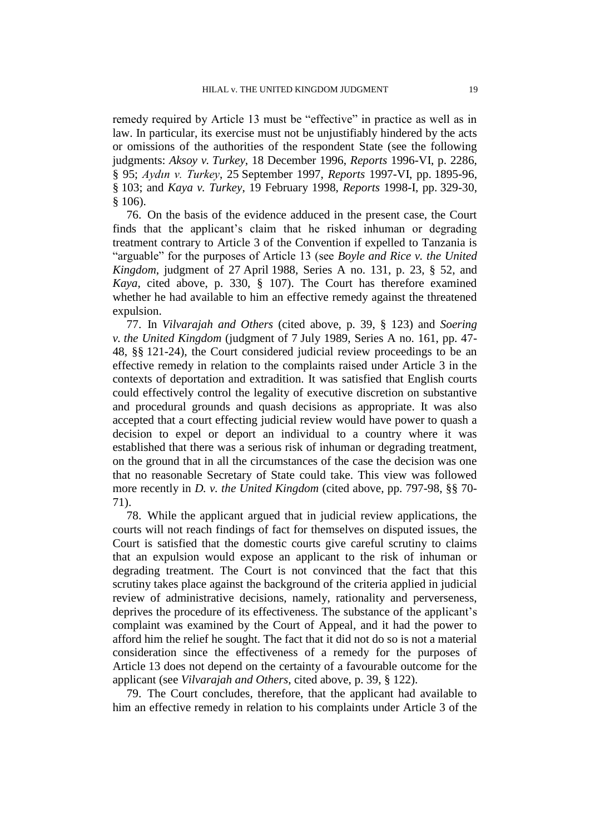remedy required by Article 13 must be "effective" in practice as well as in law. In particular, its exercise must not be unjustifiably hindered by the acts or omissions of the authorities of the respondent State (see the following judgments: *Aksoy v. Turkey*, 18 December 1996, *Reports* 1996-VI, p. 2286, § 95; *Aydın v. Turkey*, 25 September 1997, *Reports* 1997-VI, pp. 1895-96, § 103; and *Kaya v. Turkey*, 19 February 1998, *Reports* 1998-I, pp. 329-30, § 106).

76. On the basis of the evidence adduced in the present case, the Court finds that the applicant"s claim that he risked inhuman or degrading treatment contrary to Article 3 of the Convention if expelled to Tanzania is "arguable" for the purposes of Article 13 (see *Boyle and Rice v. the United Kingdom*, judgment of 27 April 1988, Series A no. 131, p. 23, § 52, and *Kaya*, cited above, p. 330, § 107). The Court has therefore examined whether he had available to him an effective remedy against the threatened expulsion.

77. In *Vilvarajah and Others* (cited above, p. 39, § 123) and *Soering v. the United Kingdom* (judgment of 7 July 1989, Series A no. 161, pp. 47- 48, §§ 121-24), the Court considered judicial review proceedings to be an effective remedy in relation to the complaints raised under Article 3 in the contexts of deportation and extradition. It was satisfied that English courts could effectively control the legality of executive discretion on substantive and procedural grounds and quash decisions as appropriate. It was also accepted that a court effecting judicial review would have power to quash a decision to expel or deport an individual to a country where it was established that there was a serious risk of inhuman or degrading treatment, on the ground that in all the circumstances of the case the decision was one that no reasonable Secretary of State could take. This view was followed more recently in *D. v. the United Kingdom* (cited above, pp. 797-98, §§ 70- 71).

78. While the applicant argued that in judicial review applications, the courts will not reach findings of fact for themselves on disputed issues, the Court is satisfied that the domestic courts give careful scrutiny to claims that an expulsion would expose an applicant to the risk of inhuman or degrading treatment. The Court is not convinced that the fact that this scrutiny takes place against the background of the criteria applied in judicial review of administrative decisions, namely, rationality and perverseness, deprives the procedure of its effectiveness. The substance of the applicant's complaint was examined by the Court of Appeal, and it had the power to afford him the relief he sought. The fact that it did not do so is not a material consideration since the effectiveness of a remedy for the purposes of Article 13 does not depend on the certainty of a favourable outcome for the applicant (see *Vilvarajah and Others*, cited above, p. 39, § 122).

79. The Court concludes, therefore, that the applicant had available to him an effective remedy in relation to his complaints under Article 3 of the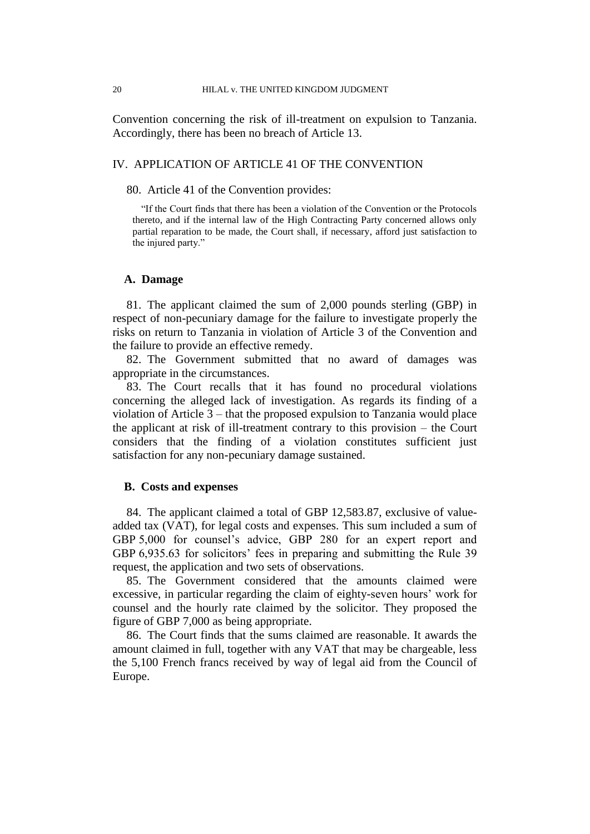Convention concerning the risk of ill-treatment on expulsion to Tanzania. Accordingly, there has been no breach of Article 13.

# IV. APPLICATION OF ARTICLE 41 OF THE CONVENTION

### 80. Article 41 of the Convention provides:

"If the Court finds that there has been a violation of the Convention or the Protocols thereto, and if the internal law of the High Contracting Party concerned allows only partial reparation to be made, the Court shall, if necessary, afford just satisfaction to the injured party."

# **A. Damage**

81. The applicant claimed the sum of 2,000 pounds sterling (GBP) in respect of non-pecuniary damage for the failure to investigate properly the risks on return to Tanzania in violation of Article 3 of the Convention and the failure to provide an effective remedy.

82. The Government submitted that no award of damages was appropriate in the circumstances.

83. The Court recalls that it has found no procedural violations concerning the alleged lack of investigation. As regards its finding of a violation of Article 3 – that the proposed expulsion to Tanzania would place the applicant at risk of ill-treatment contrary to this provision – the Court considers that the finding of a violation constitutes sufficient just satisfaction for any non-pecuniary damage sustained.

# **B. Costs and expenses**

84. The applicant claimed a total of GBP 12,583.87, exclusive of valueadded tax (VAT), for legal costs and expenses. This sum included a sum of GBP 5,000 for counsel's advice, GBP 280 for an expert report and GBP 6,935.63 for solicitors' fees in preparing and submitting the Rule 39 request, the application and two sets of observations.

85. The Government considered that the amounts claimed were excessive, in particular regarding the claim of eighty-seven hours' work for counsel and the hourly rate claimed by the solicitor. They proposed the figure of GBP 7,000 as being appropriate.

86. The Court finds that the sums claimed are reasonable. It awards the amount claimed in full, together with any VAT that may be chargeable, less the 5,100 French francs received by way of legal aid from the Council of Europe.